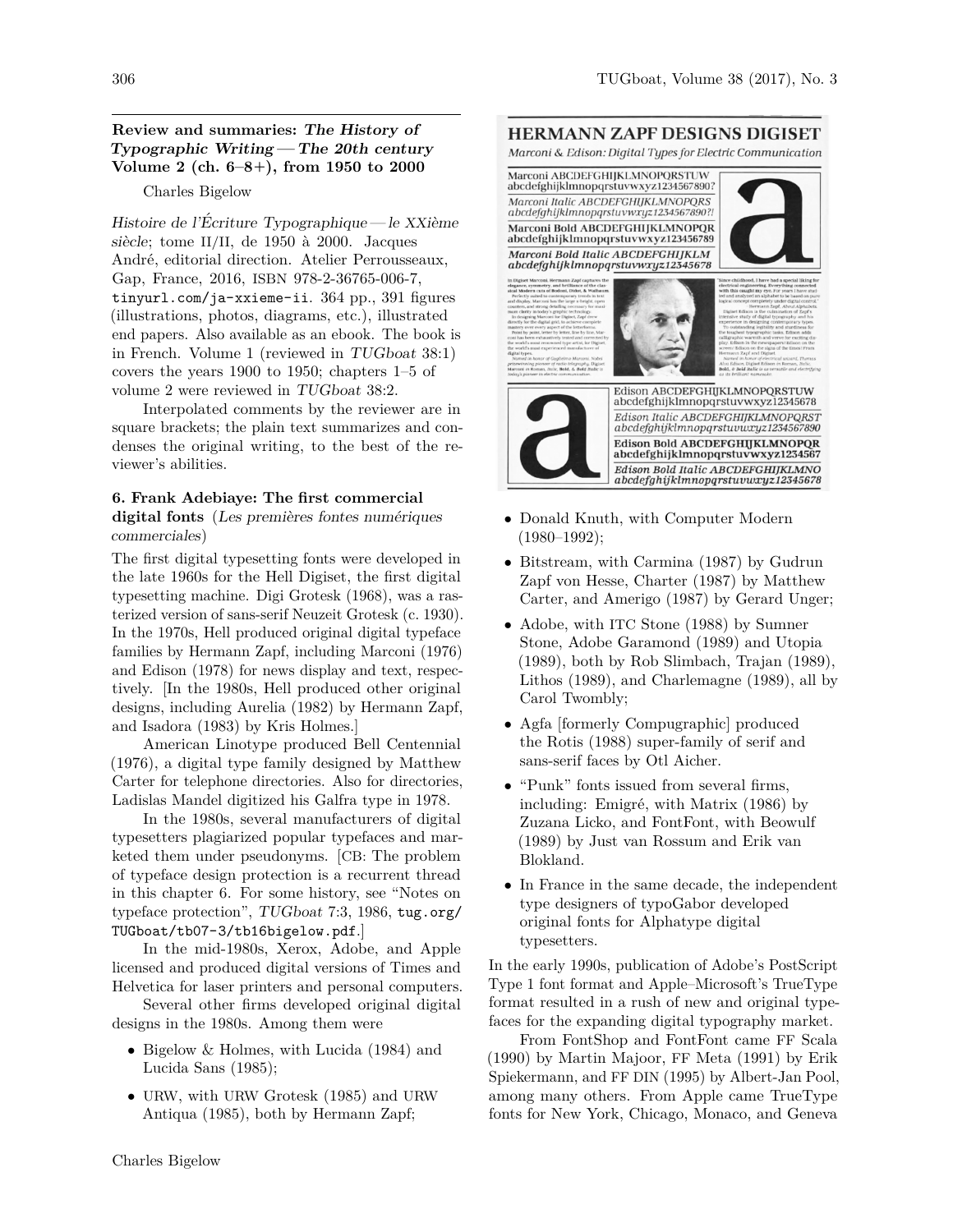## **Review and summaries: The History of Typographic Writing — The 20th century Volume 2 (ch. 6–8+), from 1950 to 2000**

### Charles Bigelow

Histoire de l'Écriture Typographique— le  $XXi$ ème siècle; tome II/II, de 1950 à 2000. Jacques André, editorial direction. Atelier Perrousseaux, Gap, France, 2016, ISBN 978-2-36765-006-7, tinyurl.com/ja-xxieme-ii. 364 pp., 391 figures (illustrations, photos, diagrams, etc.), illustrated end papers. Also available as an ebook. The book is in French. Volume 1 (reviewed in TUGboat 38:1) covers the years 1900 to 1950; chapters 1–5 of volume 2 were reviewed in TUGboat 38:2.

Interpolated comments by the reviewer are in square brackets; the plain text summarizes and condenses the original writing, to the best of the reviewer's abilities.

## **6. Frank Adebiaye: The first commercial** digital fonts (Les premières fontes numériques commerciales)

The first digital typesetting fonts were developed in the late 1960s for the Hell Digiset, the first digital typesetting machine. Digi Grotesk (1968), was a rasterized version of sans-serif Neuzeit Grotesk (c. 1930). In the 1970s, Hell produced original digital typeface families by Hermann Zapf, including Marconi (1976) and Edison (1978) for news display and text, respectively. [In the 1980s, Hell produced other original designs, including Aurelia (1982) by Hermann Zapf, and Isadora (1983) by Kris Holmes.]

American Linotype produced Bell Centennial (1976), a digital type family designed by Matthew Carter for telephone directories. Also for directories, Ladislas Mandel digitized his Galfra type in 1978.

In the 1980s, several manufacturers of digital typesetters plagiarized popular typefaces and marketed them under pseudonyms. [CB: The problem of typeface design protection is a recurrent thread in this chapter 6. For some history, see "Notes on typeface protection", TUGboat 7:3, 1986, tug.org/ TUGboat/tb07-3/tb16bigelow.pdf.]

In the mid-1980s, Xerox, Adobe, and Apple licensed and produced digital versions of Times and Helvetica for laser printers and personal computers.

Several other firms developed original digital designs in the 1980s. Among them were

- Bigelow & Holmes, with Lucida (1984) and Lucida Sans (1985);
- URW, with URW Grotesk (1985) and URW Antiqua (1985), both by Hermann Zapf;

# **HERMANN ZAPF DESIGNS DIGISET**

Marconi & Edison: Digital Types for Electric Communication

Marconi ABCDEFGHIJKLMNOPQRSTUW abcdefghijklmnopqrstuvwxyz1234567890? Marconi Italic ABCDEFGHIJKLMNOPQRS abcdefghijklmnopqrstuvwxyz1234567890?! Marconi Bold ABCDEFGHIJKLMNOPQR abcdefghijklmnopqrstuvwxyz123456789 Marconi Bold Italic ABCDEFGHIJKLM abcdefghijklmnopgrstuvwxyz12345678







Edison ABCDEFGHIJKLMNOPQRSTUW abcdefghijklmnopqrstuvwxyz12345678 Edison Italic ABCDEFGHIJKLMNOPQRST  $abcd$ efghijklmnopqrstuvwxyz1234567890 Edison Bold ABCDEFGHIJKLMNOPQR abcdefghijklmnopqrstuvwxyz1234567 Edison Bold Italic ABCDEFGHIJKLMNO  $abcdefghijklmnop qrstuvwxyz 12345678$ 

- Donald Knuth, with Computer Modern (1980–1992);
- Bitstream, with Carmina (1987) by Gudrun Zapf von Hesse, Charter (1987) by Matthew Carter, and Amerigo (1987) by Gerard Unger;
- Adobe, with ITC Stone (1988) by Sumner Stone, Adobe Garamond (1989) and Utopia (1989), both by Rob Slimbach, Trajan (1989), Lithos (1989), and Charlemagne (1989), all by Carol Twombly;
- Agfa [formerly Compugraphic] produced the Rotis (1988) super-family of serif and sans-serif faces by Otl Aicher.
- "Punk" fonts issued from several firms, including: Emigré, with Matrix  $(1986)$  by Zuzana Licko, and FontFont, with Beowulf (1989) by Just van Rossum and Erik van Blokland.
- In France in the same decade, the independent type designers of typoGabor developed original fonts for Alphatype digital typesetters.

In the early 1990s, publication of Adobe's PostScript Type 1 font format and Apple–Microsoft's TrueType format resulted in a rush of new and original typefaces for the expanding digital typography market.

From FontShop and FontFont came FF Scala (1990) by Martin Majoor, FF Meta (1991) by Erik Spiekermann, and FF DIN (1995) by Albert-Jan Pool, among many others. From Apple came TrueType fonts for New York, Chicago, Monaco, and Geneva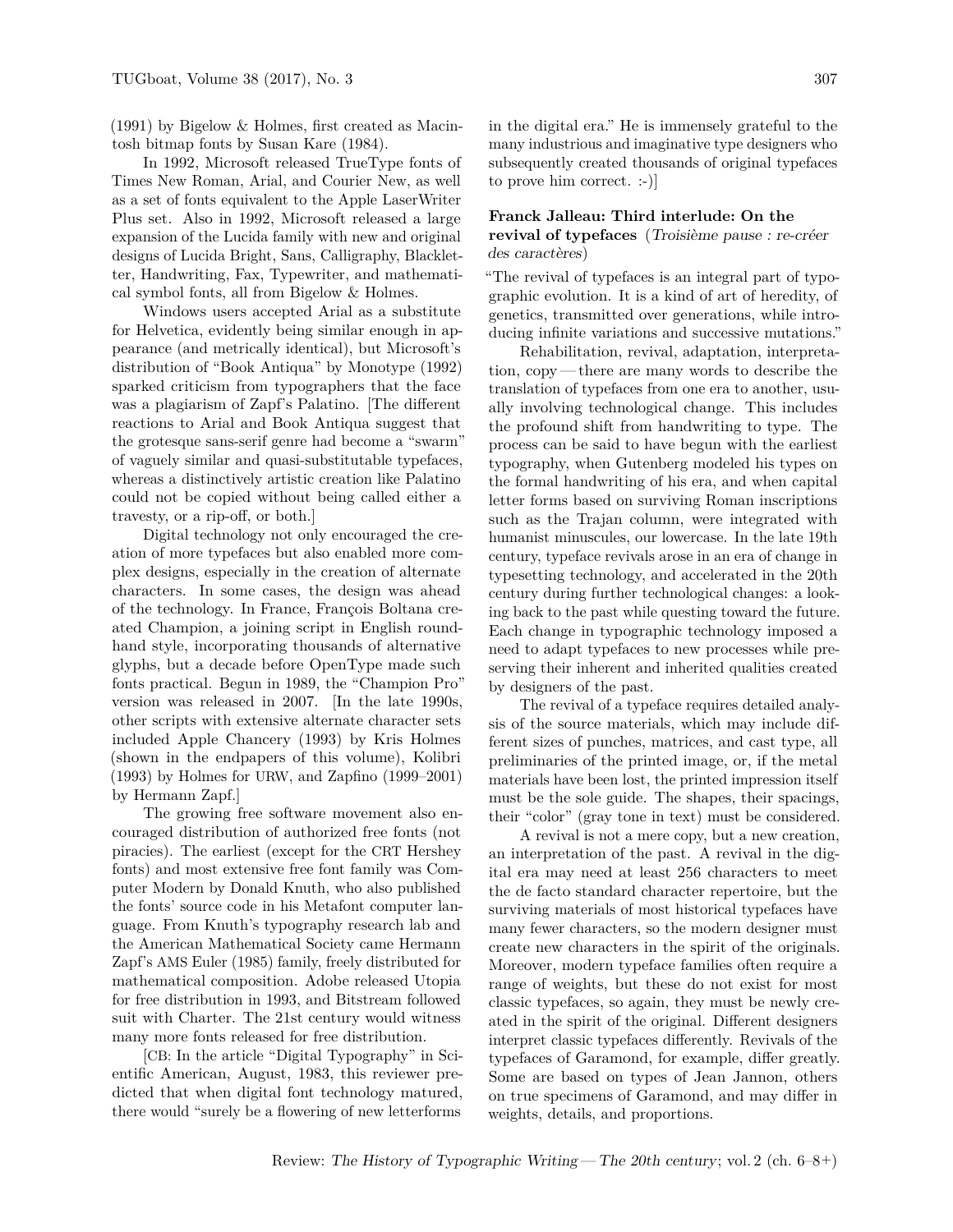(1991) by Bigelow & Holmes, first created as Macintosh bitmap fonts by Susan Kare (1984).

In 1992, Microsoft released TrueType fonts of Times New Roman, Arial, and Courier New, as well as a set of fonts equivalent to the Apple LaserWriter Plus set. Also in 1992, Microsoft released a large expansion of the Lucida family with new and original designs of Lucida Bright, Sans, Calligraphy, Blackletter, Handwriting, Fax, Typewriter, and mathematical symbol fonts, all from Bigelow & Holmes.

Windows users accepted Arial as a substitute for Helvetica, evidently being similar enough in appearance (and metrically identical), but Microsoft's distribution of "Book Antiqua" by Monotype (1992) sparked criticism from typographers that the face was a plagiarism of Zapf's Palatino. [The different reactions to Arial and Book Antiqua suggest that the grotesque sans-serif genre had become a "swarm" of vaguely similar and quasi-substitutable typefaces, whereas a distinctively artistic creation like Palatino could not be copied without being called either a travesty, or a rip-off, or both.]

Digital technology not only encouraged the creation of more typefaces but also enabled more complex designs, especially in the creation of alternate characters. In some cases, the design was ahead of the technology. In France, François Boltana created Champion, a joining script in English roundhand style, incorporating thousands of alternative glyphs, but a decade before OpenType made such fonts practical. Begun in 1989, the "Champion Pro" version was released in 2007. [In the late 1990s, other scripts with extensive alternate character sets included Apple Chancery (1993) by Kris Holmes (shown in the endpapers of this volume), Kolibri (1993) by Holmes for URW, and Zapfino (1999–2001) by Hermann Zapf.]

The growing free software movement also encouraged distribution of authorized free fonts (not piracies). The earliest (except for the CRT Hershey fonts) and most extensive free font family was Computer Modern by Donald Knuth, who also published the fonts' source code in his Metafont computer language. From Knuth's typography research lab and the American Mathematical Society came Hermann Zapf's AMS Euler (1985) family, freely distributed for mathematical composition. Adobe released Utopia for free distribution in 1993, and Bitstream followed suit with Charter. The 21st century would witness many more fonts released for free distribution.

[CB: In the article "Digital Typography" in Scientific American, August, 1983, this reviewer predicted that when digital font technology matured, there would "surely be a flowering of new letterforms

in the digital era." He is immensely grateful to the many industrious and imaginative type designers who subsequently created thousands of original typefaces to prove him correct. :-)]

### **Franck Jalleau: Third interlude: On the** revival of typefaces (Troisième pause : re-créer des caractères)

"The revival of typefaces is an integral part of typographic evolution. It is a kind of art of heredity, of genetics, transmitted over generations, while introducing infinite variations and successive mutations."

Rehabilitation, revival, adaptation, interpretation, copy— there are many words to describe the translation of typefaces from one era to another, usually involving technological change. This includes the profound shift from handwriting to type. The process can be said to have begun with the earliest typography, when Gutenberg modeled his types on the formal handwriting of his era, and when capital letter forms based on surviving Roman inscriptions such as the Trajan column, were integrated with humanist minuscules, our lowercase. In the late 19th century, typeface revivals arose in an era of change in typesetting technology, and accelerated in the 20th century during further technological changes: a looking back to the past while questing toward the future. Each change in typographic technology imposed a need to adapt typefaces to new processes while preserving their inherent and inherited qualities created by designers of the past.

The revival of a typeface requires detailed analysis of the source materials, which may include different sizes of punches, matrices, and cast type, all preliminaries of the printed image, or, if the metal materials have been lost, the printed impression itself must be the sole guide. The shapes, their spacings, their "color" (gray tone in text) must be considered.

A revival is not a mere copy, but a new creation, an interpretation of the past. A revival in the digital era may need at least 256 characters to meet the de facto standard character repertoire, but the surviving materials of most historical typefaces have many fewer characters, so the modern designer must create new characters in the spirit of the originals. Moreover, modern typeface families often require a range of weights, but these do not exist for most classic typefaces, so again, they must be newly created in the spirit of the original. Different designers interpret classic typefaces differently. Revivals of the typefaces of Garamond, for example, differ greatly. Some are based on types of Jean Jannon, others on true specimens of Garamond, and may differ in weights, details, and proportions.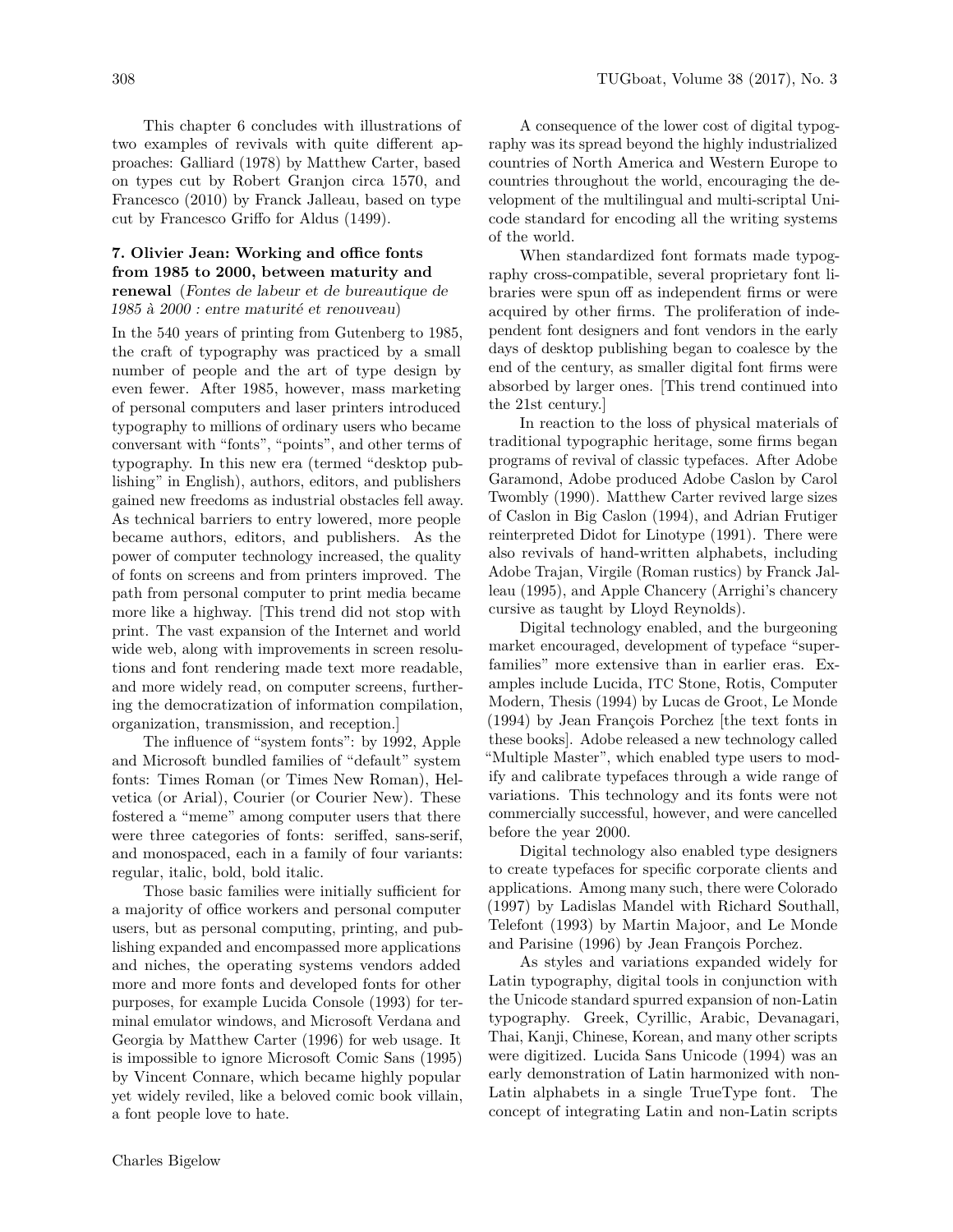This chapter 6 concludes with illustrations of two examples of revivals with quite different approaches: Galliard (1978) by Matthew Carter, based on types cut by Robert Granjon circa 1570, and Francesco (2010) by Franck Jalleau, based on type cut by Francesco Griffo for Aldus (1499).

## **7. Olivier Jean: Working and office fonts from 1985 to 2000, between maturity and renewal** (Fontes de labeur et de bureautique de 1985 à  $2000$ : entre maturité et renouveau)

In the 540 years of printing from Gutenberg to 1985, the craft of typography was practiced by a small number of people and the art of type design by even fewer. After 1985, however, mass marketing of personal computers and laser printers introduced typography to millions of ordinary users who became conversant with "fonts", "points", and other terms of typography. In this new era (termed "desktop publishing" in English), authors, editors, and publishers gained new freedoms as industrial obstacles fell away. As technical barriers to entry lowered, more people became authors, editors, and publishers. As the power of computer technology increased, the quality of fonts on screens and from printers improved. The path from personal computer to print media became more like a highway. [This trend did not stop with print. The vast expansion of the Internet and world wide web, along with improvements in screen resolutions and font rendering made text more readable, and more widely read, on computer screens, furthering the democratization of information compilation, organization, transmission, and reception.]

The influence of "system fonts": by 1992, Apple and Microsoft bundled families of "default" system fonts: Times Roman (or Times New Roman), Helvetica (or Arial), Courier (or Courier New). These fostered a "meme" among computer users that there were three categories of fonts: seriffed, sans-serif, and monospaced, each in a family of four variants: regular, italic, bold, bold italic.

Those basic families were initially sufficient for a majority of office workers and personal computer users, but as personal computing, printing, and publishing expanded and encompassed more applications and niches, the operating systems vendors added more and more fonts and developed fonts for other purposes, for example Lucida Console (1993) for terminal emulator windows, and Microsoft Verdana and Georgia by Matthew Carter (1996) for web usage. It is impossible to ignore Microsoft Comic Sans (1995) by Vincent Connare, which became highly popular yet widely reviled, like a beloved comic book villain, a font people love to hate.

A consequence of the lower cost of digital typography was its spread beyond the highly industrialized countries of North America and Western Europe to countries throughout the world, encouraging the development of the multilingual and multi-scriptal Unicode standard for encoding all the writing systems of the world.

When standardized font formats made typography cross-compatible, several proprietary font libraries were spun off as independent firms or were acquired by other firms. The proliferation of independent font designers and font vendors in the early days of desktop publishing began to coalesce by the end of the century, as smaller digital font firms were absorbed by larger ones. [This trend continued into the 21st century.]

In reaction to the loss of physical materials of traditional typographic heritage, some firms began programs of revival of classic typefaces. After Adobe Garamond, Adobe produced Adobe Caslon by Carol Twombly (1990). Matthew Carter revived large sizes of Caslon in Big Caslon (1994), and Adrian Frutiger reinterpreted Didot for Linotype (1991). There were also revivals of hand-written alphabets, including Adobe Trajan, Virgile (Roman rustics) by Franck Jalleau (1995), and Apple Chancery (Arrighi's chancery cursive as taught by Lloyd Reynolds).

Digital technology enabled, and the burgeoning market encouraged, development of typeface "superfamilies" more extensive than in earlier eras. Examples include Lucida, ITC Stone, Rotis, Computer Modern, Thesis (1994) by Lucas de Groot, Le Monde  $(1994)$  by Jean François Porchez [the text fonts in these books]. Adobe released a new technology called "Multiple Master", which enabled type users to modify and calibrate typefaces through a wide range of variations. This technology and its fonts were not commercially successful, however, and were cancelled before the year 2000.

Digital technology also enabled type designers to create typefaces for specific corporate clients and applications. Among many such, there were Colorado (1997) by Ladislas Mandel with Richard Southall, Telefont (1993) by Martin Majoor, and Le Monde and Parisine (1996) by Jean François Porchez.

As styles and variations expanded widely for Latin typography, digital tools in conjunction with the Unicode standard spurred expansion of non-Latin typography. Greek, Cyrillic, Arabic, Devanagari, Thai, Kanji, Chinese, Korean, and many other scripts were digitized. Lucida Sans Unicode (1994) was an early demonstration of Latin harmonized with non-Latin alphabets in a single TrueType font. The concept of integrating Latin and non-Latin scripts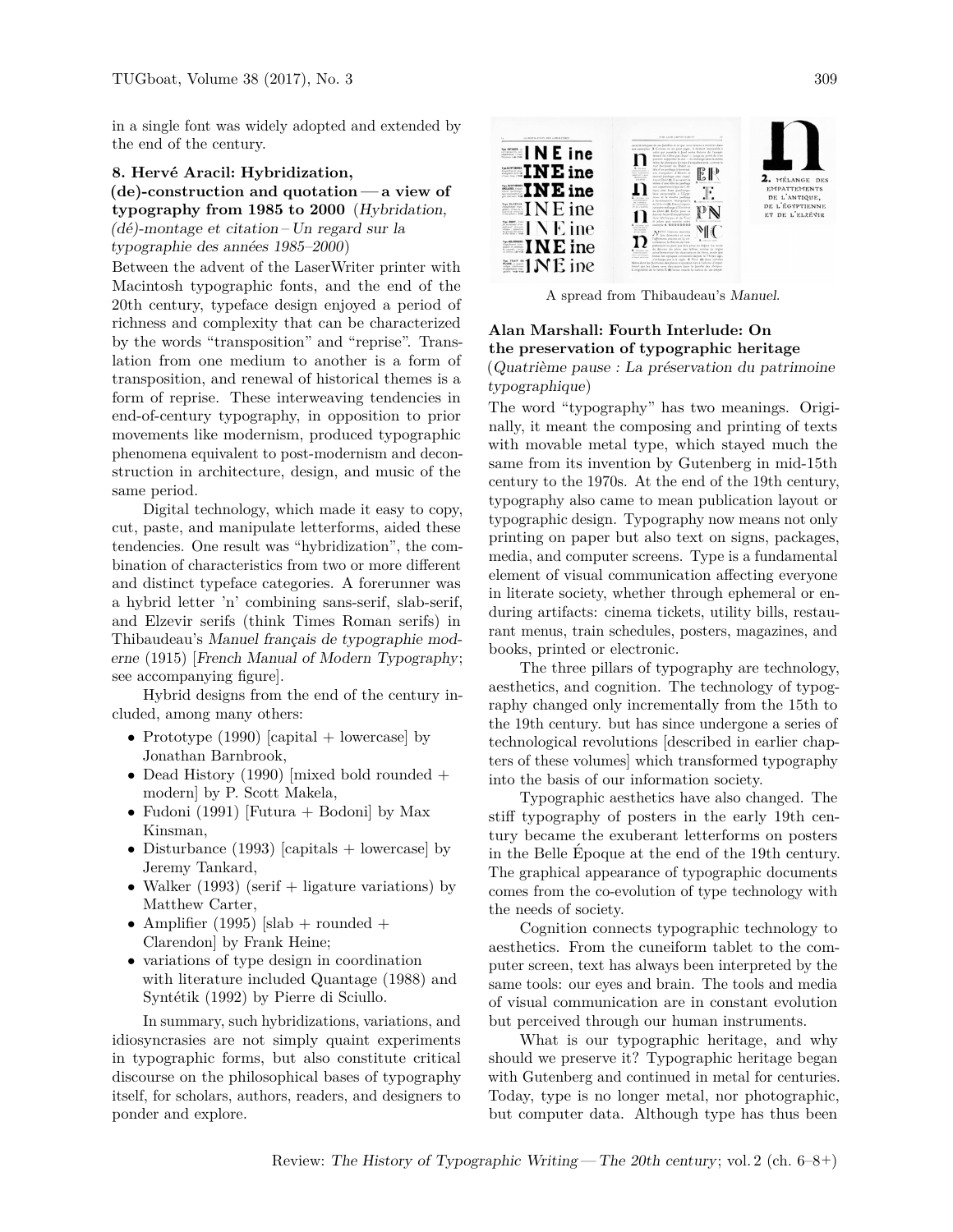in a single font was widely adopted and extended by the end of the century.

8. Hervé Aracil: Hybridization, **(de)-construction and quotation — a view of typography from 1985 to 2000** (Hybridation,  $(d\acute{e})$ -montage et citation – Un regard sur la typographie des années 1985–2000)

Between the advent of the LaserWriter printer with Macintosh typographic fonts, and the end of the 20th century, typeface design enjoyed a period of richness and complexity that can be characterized by the words "transposition" and "reprise". Translation from one medium to another is a form of transposition, and renewal of historical themes is a form of reprise. These interweaving tendencies in end-of-century typography, in opposition to prior movements like modernism, produced typographic phenomena equivalent to post-modernism and deconstruction in architecture, design, and music of the same period.

Digital technology, which made it easy to copy, cut, paste, and manipulate letterforms, aided these tendencies. One result was "hybridization", the combination of characteristics from two or more different and distinct typeface categories. A forerunner was a hybrid letter 'n' combining sans-serif, slab-serif, and Elzevir serifs (think Times Roman serifs) in Thibaudeau's Manuel français de typographie moderne (1915) [French Manual of Modern Typography; see accompanying figure].

Hybrid designs from the end of the century included, among many others:

- Prototype (1990) [capital + lowercase] by Jonathan Barnbrook,
- Dead History (1990) [mixed bold rounded  $+$ modern] by P. Scott Makela,
- Fudoni (1991) [Futura  $+$  Bodoni] by Max Kinsman,
- Disturbance (1993) [capitals + lowercase] by Jeremy Tankard,
- Walker (1993) (serif  $+$  ligature variations) by Matthew Carter,
- Amplifier (1995) [slab + rounded + Clarendon] by Frank Heine;
- variations of type design in coordination with literature included Quantage (1988) and Syntétik (1992) by Pierre di Sciullo.

In summary, such hybridizations, variations, and idiosyncrasies are not simply quaint experiments in typographic forms, but also constitute critical discourse on the philosophical bases of typography itself, for scholars, authors, readers, and designers to ponder and explore.



A spread from Thibaudeau's Manuel.

## **Alan Marshall: Fourth Interlude: On the preservation of typographic heritage**  $(Quatrième pause: La présention du patrimoine)$ typographique)

The word "typography" has two meanings. Originally, it meant the composing and printing of texts with movable metal type, which stayed much the same from its invention by Gutenberg in mid-15th century to the 1970s. At the end of the 19th century, typography also came to mean publication layout or typographic design. Typography now means not only printing on paper but also text on signs, packages, media, and computer screens. Type is a fundamental element of visual communication affecting everyone in literate society, whether through ephemeral or enduring artifacts: cinema tickets, utility bills, restaurant menus, train schedules, posters, magazines, and books, printed or electronic.

The three pillars of typography are technology, aesthetics, and cognition. The technology of typography changed only incrementally from the 15th to the 19th century. but has since undergone a series of technological revolutions [described in earlier chapters of these volumes] which transformed typography into the basis of our information society.

Typographic aesthetics have also changed. The stiff typography of posters in the early 19th century became the exuberant letterforms on posters in the Belle Epoque at the end of the 19th century. The graphical appearance of typographic documents comes from the co-evolution of type technology with the needs of society.

Cognition connects typographic technology to aesthetics. From the cuneiform tablet to the computer screen, text has always been interpreted by the same tools: our eyes and brain. The tools and media of visual communication are in constant evolution but perceived through our human instruments.

What is our typographic heritage, and why should we preserve it? Typographic heritage began with Gutenberg and continued in metal for centuries. Today, type is no longer metal, nor photographic, but computer data. Although type has thus been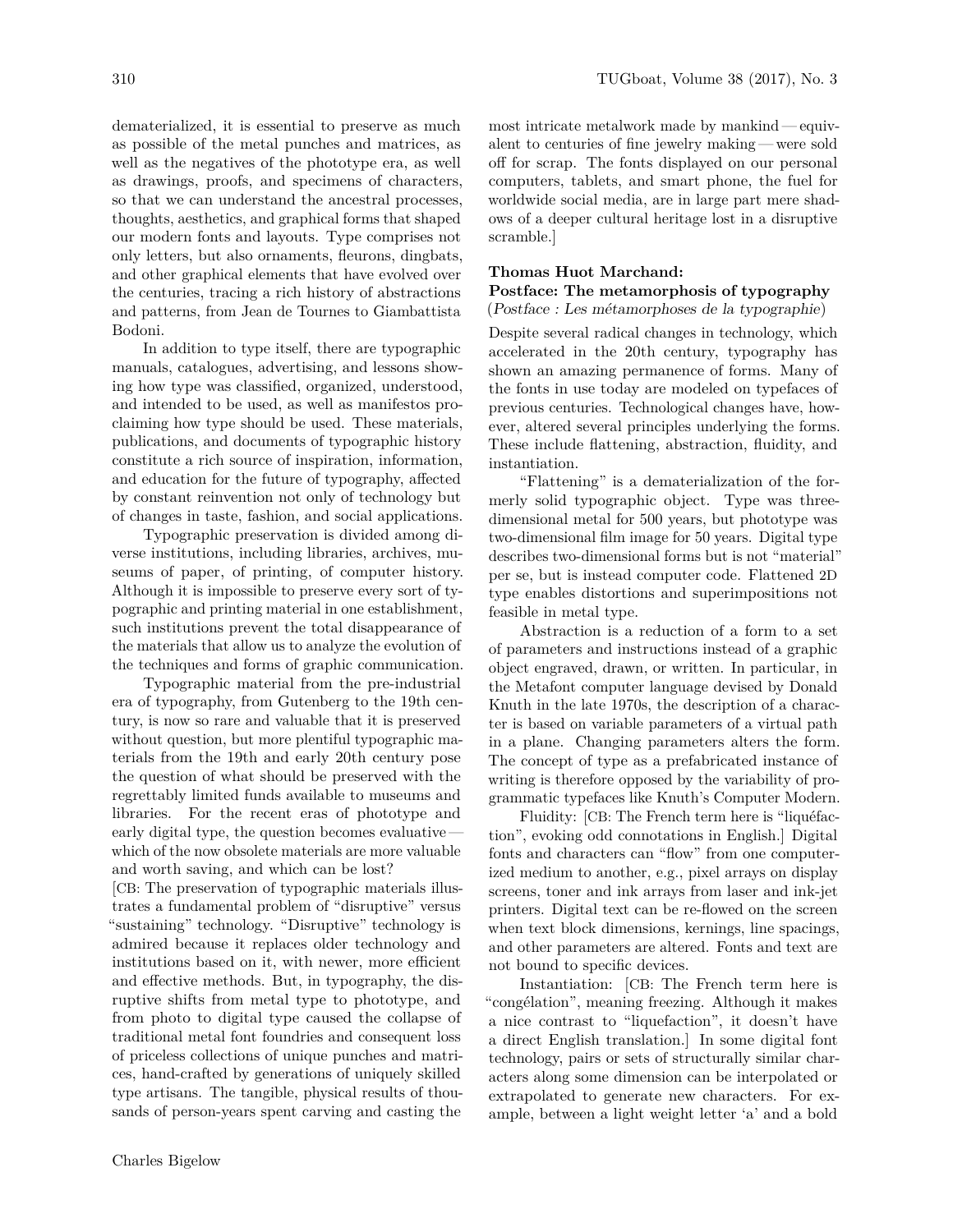dematerialized, it is essential to preserve as much as possible of the metal punches and matrices, as well as the negatives of the phototype era, as well as drawings, proofs, and specimens of characters, so that we can understand the ancestral processes, thoughts, aesthetics, and graphical forms that shaped our modern fonts and layouts. Type comprises not only letters, but also ornaments, fleurons, dingbats, and other graphical elements that have evolved over the centuries, tracing a rich history of abstractions and patterns, from Jean de Tournes to Giambattista Bodoni.

In addition to type itself, there are typographic manuals, catalogues, advertising, and lessons showing how type was classified, organized, understood, and intended to be used, as well as manifestos proclaiming how type should be used. These materials, publications, and documents of typographic history constitute a rich source of inspiration, information, and education for the future of typography, affected by constant reinvention not only of technology but of changes in taste, fashion, and social applications.

Typographic preservation is divided among diverse institutions, including libraries, archives, museums of paper, of printing, of computer history. Although it is impossible to preserve every sort of typographic and printing material in one establishment, such institutions prevent the total disappearance of the materials that allow us to analyze the evolution of the techniques and forms of graphic communication.

Typographic material from the pre-industrial era of typography, from Gutenberg to the 19th century, is now so rare and valuable that it is preserved without question, but more plentiful typographic materials from the 19th and early 20th century pose the question of what should be preserved with the regrettably limited funds available to museums and libraries. For the recent eras of phototype and early digital type, the question becomes evaluative which of the now obsolete materials are more valuable and worth saving, and which can be lost?

[CB: The preservation of typographic materials illustrates a fundamental problem of "disruptive" versus "sustaining" technology. "Disruptive" technology is admired because it replaces older technology and institutions based on it, with newer, more efficient and effective methods. But, in typography, the disruptive shifts from metal type to phototype, and from photo to digital type caused the collapse of traditional metal font foundries and consequent loss of priceless collections of unique punches and matrices, hand-crafted by generations of uniquely skilled type artisans. The tangible, physical results of thousands of person-years spent carving and casting the most intricate metalwork made by mankind — equivalent to centuries of fine jewelry making — were sold off for scrap. The fonts displayed on our personal computers, tablets, and smart phone, the fuel for worldwide social media, are in large part mere shadows of a deeper cultural heritage lost in a disruptive scramble.]

#### **Thomas Huot Marchand:**

#### **Postface: The metamorphosis of typography**  $(Postface: Les métamorphoses de la typographie)$

Despite several radical changes in technology, which accelerated in the 20th century, typography has shown an amazing permanence of forms. Many of the fonts in use today are modeled on typefaces of previous centuries. Technological changes have, however, altered several principles underlying the forms. These include flattening, abstraction, fluidity, and instantiation.

"Flattening" is a dematerialization of the formerly solid typographic object. Type was threedimensional metal for 500 years, but phototype was two-dimensional film image for 50 years. Digital type describes two-dimensional forms but is not "material" per se, but is instead computer code. Flattened 2D type enables distortions and superimpositions not feasible in metal type.

Abstraction is a reduction of a form to a set of parameters and instructions instead of a graphic object engraved, drawn, or written. In particular, in the Metafont computer language devised by Donald Knuth in the late 1970s, the description of a character is based on variable parameters of a virtual path in a plane. Changing parameters alters the form. The concept of type as a prefabricated instance of writing is therefore opposed by the variability of programmatic typefaces like Knuth's Computer Modern.

Fluidity: [CB: The French term here is "liquéfaction", evoking odd connotations in English.] Digital fonts and characters can "flow" from one computerized medium to another, e.g., pixel arrays on display screens, toner and ink arrays from laser and ink-jet printers. Digital text can be re-flowed on the screen when text block dimensions, kernings, line spacings, and other parameters are altered. Fonts and text are not bound to specific devices.

Instantiation: [CB: The French term here is "congélation", meaning freezing. Although it makes a nice contrast to "liquefaction", it doesn't have a direct English translation.] In some digital font technology, pairs or sets of structurally similar characters along some dimension can be interpolated or extrapolated to generate new characters. For example, between a light weight letter 'a' and a bold